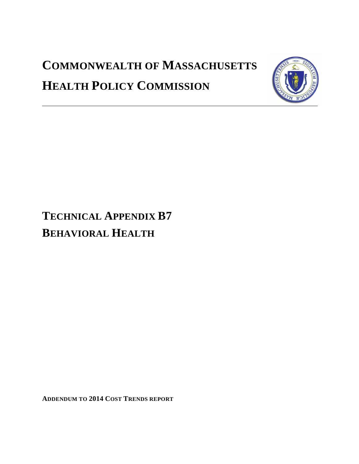# **COMMONWEALTH OF MASSACHUSETTS HEALTH POLICY COMMISSION**



## **TECHNICAL APPENDIX B7 BEHAVIORAL HEALTH**

**ADDENDUM TO 2014 COST TRENDS REPORT**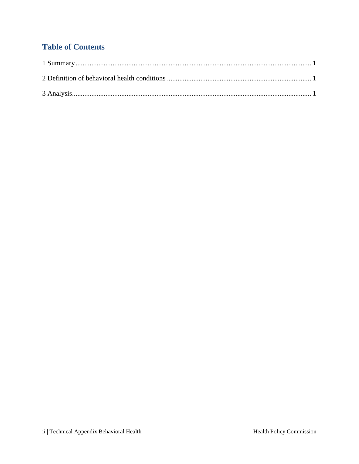### **Table of Contents**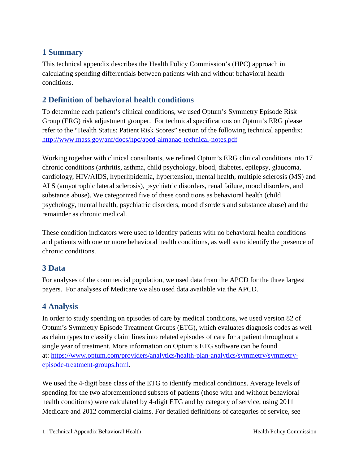#### <span id="page-2-0"></span>**1 Summary**

This technical appendix describes the Health Policy Commission's (HPC) approach in calculating spending differentials between patients with and without behavioral health conditions.

#### <span id="page-2-1"></span>**2 Definition of behavioral health conditions**

To determine each patient's clinical conditions, we used Optum's Symmetry Episode Risk Group (ERG) risk adjustment grouper. For technical specifications on Optum's ERG please refer to the "Health Status: Patient Risk Scores" section of the following technical appendix: <http://www.mass.gov/anf/docs/hpc/apcd-almanac-technical-notes.pdf>

Working together with clinical consultants, we refined Optum's ERG clinical conditions into 17 chronic conditions (arthritis, asthma, child psychology, blood, diabetes, epilepsy, glaucoma, cardiology, HIV/AIDS, hyperlipidemia, hypertension, mental health, multiple sclerosis (MS) and ALS (amyotrophic lateral sclerosis), psychiatric disorders, renal failure, mood disorders, and substance abuse). We categorized five of these conditions as behavioral health (child psychology, mental health, psychiatric disorders, mood disorders and substance abuse) and the remainder as chronic medical.

These condition indicators were used to identify patients with no behavioral health conditions and patients with one or more behavioral health conditions, as well as to identify the presence of chronic conditions.

#### **3 Data**

For analyses of the commercial population, we used data from the APCD for the three largest payers. For analyses of Medicare we also used data available via the APCD.

#### <span id="page-2-2"></span>**4 Analysis**

In order to study spending on episodes of care by medical conditions, we used version 82 of Optum's Symmetry Episode Treatment Groups (ETG), which evaluates diagnosis codes as well as claim types to classify claim lines into related episodes of care for a patient throughout a single year of treatment. More information on Optum's ETG software can be found at: [https://www.optum.com/providers/analytics/health-plan-analytics/symmetry/symmetry](https://www.optum.com/providers/analytics/health-plan-analytics/symmetry/symmetry-episode-treatment-groups.html)[episode-treatment-groups.html.](https://www.optum.com/providers/analytics/health-plan-analytics/symmetry/symmetry-episode-treatment-groups.html)

We used the 4-digit base class of the ETG to identify medical conditions. Average levels of spending for the two aforementioned subsets of patients (those with and without behavioral health conditions) were calculated by 4-digit ETG and by category of service, using 2011 Medicare and 2012 commercial claims. For detailed definitions of categories of service, see